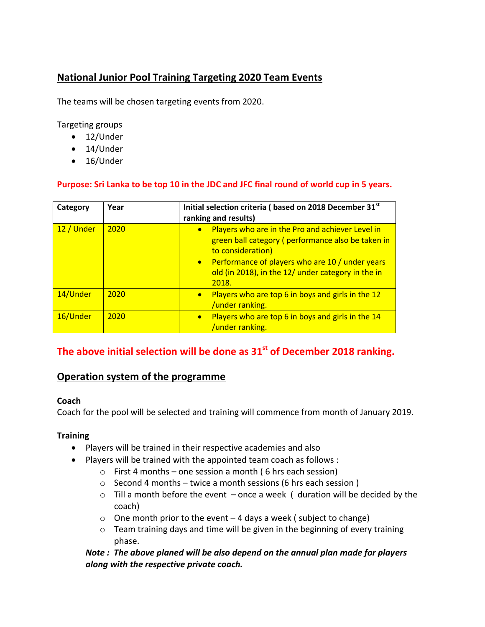## **National Junior Pool Training Targeting 2020 Team Events**

The teams will be chosen targeting events from 2020.

Targeting groups

- 12/Under
- 14/Under
- 16/Under

#### **Purpose: Sri Lanka to be top 10 in the JDC and JFC final round of world cup in 5 years.**

| Category   | Year | Initial selection criteria (based on 2018 December 31st<br>ranking and results)                                                                                                                                                              |
|------------|------|----------------------------------------------------------------------------------------------------------------------------------------------------------------------------------------------------------------------------------------------|
| 12 / Under | 2020 | Players who are in the Pro and achiever Level in<br>green ball category (performance also be taken in<br>to consideration)<br>Performance of players who are 10 / under years<br>old (in 2018), in the 12/ under category in the in<br>2018. |
| 14/Under   | 2020 | Players who are top 6 in boys and girls in the 12<br>/under ranking.                                                                                                                                                                         |
| 16/Under   | 2020 | Players who are top 6 in boys and girls in the 14<br>$\bullet$<br>/under ranking.                                                                                                                                                            |

### **The above initial selection will be done as 31st of December 2018 ranking.**

# **Operation system of the programme**

#### **Coach**

Coach for the pool will be selected and training will commence from month of January 2019.

#### **Training**

- Players will be trained in their respective academies and also
- Players will be trained with the appointed team coach as follows :
	- $\circ$  First 4 months one session a month (6 hrs each session)
	- $\circ$  Second 4 months twice a month sessions (6 hrs each session)
	- $\circ$  Till a month before the event once a week ( duration will be decided by the coach)
	- $\circ$  One month prior to the event 4 days a week ( subject to change)
	- o Team training days and time will be given in the beginning of every training phase.

*Note : The above planed will be also depend on the annual plan made for players along with the respective private coach.*